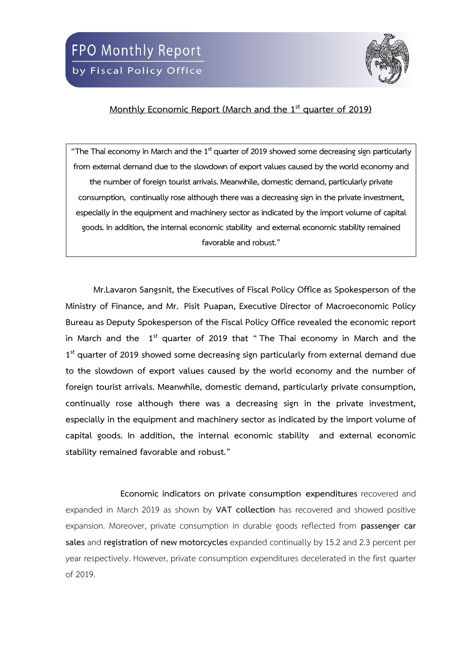

## **Monthly Economic Report (March and the 1 st quarter of 2019)**

**"The Thai economy in March and the 1 st quarter of 2019 showed some decreasing sign particularly from external demand due to the slowdown of export values caused by the world economy and the number of foreign tourist arrivals. Meanwhile, domestic demand, particularly private consumption, continually rose although there was a decreasing sign in the private investment, especially in the equipment and machinery sector as indicated by the import volume of capital goods. In addition, the internal economic stability and external economic stability remained favorable and robust."**

**Mr.Lavaron Sangsnit, the Executives of Fiscal Policy Office as Spokesperson of the Ministry of Finance, and Mr. Pisit Puapan, Executive Director of Macroeconomic Policy Bureau as Deputy Spokesperson of the Fiscal Policy Office revealed the economic report in March and the 1 st quarter of 2019 that " The Thai economy in March and the 1 st quarter of 2019 showed some decreasing sign particularly from external demand due to the slowdown of export values caused by the world economy and the number of foreign tourist arrivals. Meanwhile, domestic demand, particularly private consumption, continually rose although there was a decreasing sign in the private investment, especially in the equipment and machinery sector as indicated by the import volume of capital goods. In addition, the internal economic stability and external economic stability remained favorable and robust."**

**Economic indicators on private consumption expenditures** recovered and expanded in March 2019 as shown by **VAT collection** has recovered and showed positive expansion. Moreover, private consumption in durable goods reflected from **passenger car sales** and **registration of new motorcycles** expanded continually by 15.2 and 2.3 percent per year respectively. However, private consumption expenditures decelerated in the first quarter of 2019.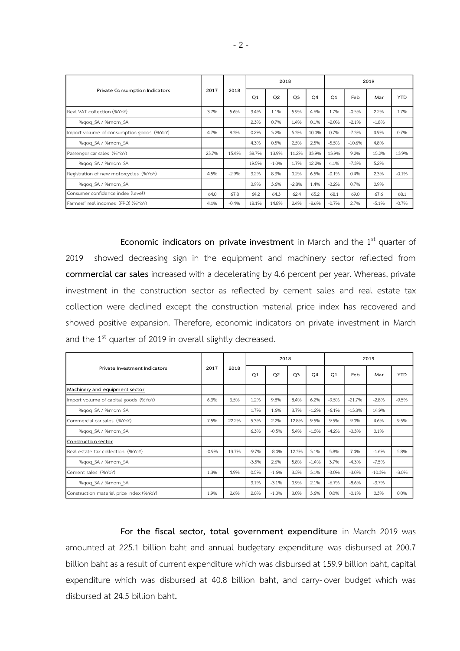| Private Consumption Indicators            | 2017  | 2018    |                | 2018    |                |                | 2019           |          |         |            |  |
|-------------------------------------------|-------|---------|----------------|---------|----------------|----------------|----------------|----------|---------|------------|--|
|                                           |       |         | O <sub>1</sub> | Q2      | Q <sub>3</sub> | O <sub>4</sub> | O <sub>1</sub> | Feb      | Mar     | <b>YTD</b> |  |
| Real VAT collection (%YoY)                | 3.7%  | 5.6%    | 3.4%           | 1.1%    | 5.9%           | 4.6%           | 1.7%           | $-0.5%$  | 2.2%    | 1.7%       |  |
| %gog SA / %mom SA                         |       |         | 2.3%           | 0.7%    | 1.4%           | 0.1%           | $-2.0%$        | $-2.1%$  | $-1.8%$ |            |  |
| Import volume of consumption goods (%YoY) | 4.7%  | 8.3%    | 0.2%           | 3.2%    | 5.3%           | 10.0%          | 0.7%           | $-7.3%$  | 4.9%    | 0.7%       |  |
| %gog SA / %mom SA                         |       |         | 4.3%           | 0.5%    | 2.5%           | 2.5%           | $-5.5%$        | $-10.6%$ | 4.8%    |            |  |
| Passenger car sales (%YoY)                | 23.7% | 15.4%   | 38.7%          | 13.9%   | 11.2%          | 33.9%          | 13.9%          | 9.2%     | 15.2%   | 13.9%      |  |
| %gog SA / %mom SA                         |       |         | 19.5%          | $-1.0%$ | 1.7%           | 12.2%          | 4.1%           | $-7.3%$  | 5.2%    |            |  |
| Registration of new motorcycles (%YoY)    | 4.5%  | $-2.9%$ | 3.2%           | 8.3%    | 0.2%           | 6.5%           | $-0.1%$        | 0.4%     | 2.3%    | $-0.1%$    |  |
| %gog SA / %mom SA                         |       |         | 3.9%           | 3.6%    | $-2.8%$        | 1.4%           | $-3.2%$        | 0.7%     | 0.9%    |            |  |
| Consumer confidence index (level)         | 64.0  | 67.8    | 64.2           | 64.3    | 62.4           | 65.2           | 68.1           | 69.0     | 67.6    | 68.1       |  |
| Farmers' real incomes (FPO) (%YoY)        | 4.1%  | $-0.4%$ | 18.1%          | 14.8%   | 2.4%           | $-8.6%$        | $-0.7%$        | 2.7%     | $-5.1%$ | $-0.7%$    |  |

**Economic indicators on private investment** in March and the 1<sup>st</sup> quarter of 2019 showed decreasing sign in the equipment and machinery sector reflected from **commercial car sales** increased with a decelerating by 4.6 percent per year. Whereas, private investment in the construction sector as reflected by cement sales and real estate tax collection were declined except the construction material price index has recovered and showed positive expansion. Therefore, economic indicators on private investment in March and the 1<sup>st</sup> quarter of 2019 in overall slightly decreased.

|                                          |         | 2018  |                | 2018    |                |                | 2019    |          |          |            |  |
|------------------------------------------|---------|-------|----------------|---------|----------------|----------------|---------|----------|----------|------------|--|
| Private Investment Indicators            | 2017    |       | O <sub>1</sub> | Q2      | Q <sub>3</sub> | O <sub>4</sub> | Q1      | Feb      | Mar      | <b>YTD</b> |  |
| Machinery and equipment sector           |         |       |                |         |                |                |         |          |          |            |  |
| Import volume of capital goods (%YoY)    | 6.3%    | 3.5%  | 1.2%           | 9.8%    | 8.4%           | 6.2%           | $-9.5%$ | $-21.7%$ | $-2.8%$  | $-9.5%$    |  |
| %gog SA / %mom SA                        |         |       | 1.7%           | 1.6%    | 3.7%           | $-1.2%$        | $-6.1%$ | $-13.3%$ | 14.9%    |            |  |
| Commercial car sales (%YoY)              | 7.5%    | 22.2% | 5.3%           | 2.2%    | 12.8%          | 9.5%           | 9.5%    | 9.0%     | 4.6%     | 9.5%       |  |
| %gog SA / %mom SA                        |         |       | 6.3%           | $-0.5%$ | 5.4%           | $-1.5%$        | $-4.2%$ | $-3.3%$  | 0.1%     |            |  |
| Construction sector                      |         |       |                |         |                |                |         |          |          |            |  |
| Real estate tax collection (%YoY)        | $-0.9%$ | 13.7% | $-9.7%$        | $-8.4%$ | 12.3%          | 3.1%           | 5.8%    | 7.4%     | $-1.6%$  | 5.8%       |  |
| %gog SA / %mom SA                        |         |       | $-3.5%$        | 2.6%    | 5.8%           | $-1.4%$        | 3.7%    | $-4.3%$  | $-7.5%$  |            |  |
| Cement sales (%YoY)                      | 1.3%    | 4.9%  | 0.5%           | $-1.6%$ | 3.5%           | 3.1%           | $-3.0%$ | $-3.0%$  | $-10.3%$ | $-3.0%$    |  |
| %gog SA / %mom SA                        |         |       | 3.1%           | $-3.1%$ | 0.9%           | 2.1%           | $-6.7%$ | $-8.6%$  | $-3.7%$  |            |  |
| Construction material price index (%YoY) | 1.9%    | 2.6%  | 2.0%           | $-1.0%$ | 3.0%           | 3.6%           | 0.0%    | $-0.1%$  | 0.3%     | 0.0%       |  |

**For the fiscal sector, total government expenditure** in March 2019 was amounted at 225.1 billion baht and annual budgetary expenditure was disbursed at 200.7 billion baht as a result of current expenditure which was disbursed at 159.9 billion baht, capital expenditure which was disbursed at 40.8 billion baht, and carry-over budget which was disbursed at 24.5 billion baht**.**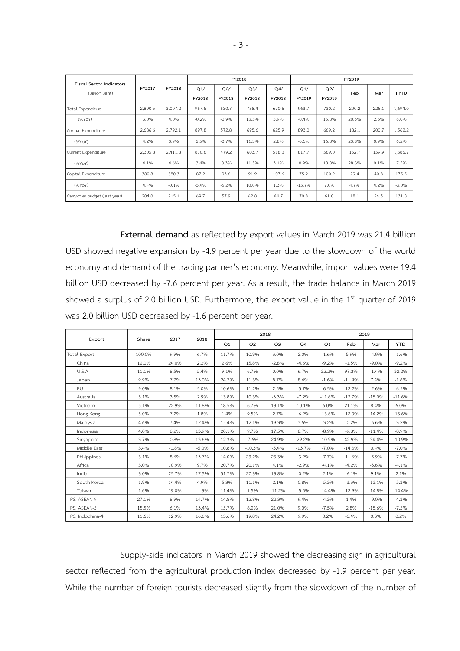| <b>Fiscal Sector Indicators</b> |         | FY2018  |               |               | FY2018                   |               | FY2019        |               |       |       |             |  |  |
|---------------------------------|---------|---------|---------------|---------------|--------------------------|---------------|---------------|---------------|-------|-------|-------------|--|--|
| (Billion Baht)                  | FY2017  |         | Q1/<br>FY2018 | Q2/<br>FY2018 | Q <sub>3</sub><br>FY2018 | Q4/<br>FY2018 | Q1/<br>FY2019 | Q2/<br>FY2019 | Feb   | Mar   | <b>FYTD</b> |  |  |
| <b>Total Expenditure</b>        | 2,890.5 | 3,007.2 | 967.5         | 630.7         | 738.4                    | 670.6         | 963.7         | 730.2         | 200.2 | 225.1 | 1,694.0     |  |  |
| (96YoY)                         | 3.0%    | 4.0%    | $-0.2%$       | $-0.9%$       | 13.3%                    | 5.9%          | $-0.4%$       | 15.8%         | 20.6% | 2.3%  | 6.0%        |  |  |
| Annual Expenditure              | 2,686.6 | 2,792.1 | 897.8         | 572.8         | 695.6                    | 625.9         | 893.0         | 669.2         | 182.1 | 200.7 | 1,562.2     |  |  |
| (96YoY)                         | 4.2%    | 3.9%    | 2.5%          | $-0.7%$       | 11.3%                    | 2.8%          | $-0.5%$       | 16.8%         | 23.8% | 0.9%  | 6.2%        |  |  |
| Current Expenditure             | 2,305.8 | 2,411.8 | 810.6         | 479.2         | 603.7                    | 518.3         | 817.7         | 569.0         | 152.7 | 159.9 | 1,386.7     |  |  |
| (96YoY)                         | 4.1%    | 4.6%    | 3.4%          | 0.3%          | 11.5%                    | 3.1%          | 0.9%          | 18.8%         | 28.3% | 0.1%  | 7.5%        |  |  |
| Capital Expenditure             | 380.8   | 380.3   | 87.2          | 93.6          | 91.9                     | 107.6         | 75.2          | 100.2         | 29.4  | 40.8  | 175.5       |  |  |
| (%YoY)                          | 4.4%    | $-0.1%$ | $-5.4%$       | $-5.2%$       | 10.0%                    | 1.3%          | $-13.7%$      | 7.0%          | 4.7%  | 4.2%  | $-3.0%$     |  |  |
| Carry-over budget (last year)   | 204.0   | 215.1   | 69.7          | 57.9          | 42.8                     | 44.7          | 70.8          | 61.0          | 18.1  | 24.5  | 131.8       |  |  |

**External demand** as reflected by export values in March 2019 was 21.4 billion USD showed negative expansion by -4.9 percent per year due to the slowdown of the world economy and demand of the trading partner's economy. Meanwhile, import values were 19.4 billion USD decreased by -7.6 percent per year. As a result, the trade balance in March 2019 showed a surplus of 2.0 billion USD. Furthermore, the export value in the  $1<sup>st</sup>$  quarter of 2019 was 2.0 billion USD decreased by -1.6 percent per year.

|                 |        |         |         |       |          | 2018           |          | 2019     |          |          |            |  |  |
|-----------------|--------|---------|---------|-------|----------|----------------|----------|----------|----------|----------|------------|--|--|
| Export          | Share  | 2017    | 2018    | Q1    | Q2       | Q <sub>3</sub> | Q4       | Q1       | Feb      | Mar      | <b>YTD</b> |  |  |
| Total Export    | 100.0% | 9.9%    | 6.7%    | 11.7% | 10.9%    | 3.0%           | 2.0%     | $-1.6%$  | 5.9%     | $-4.9%$  | $-1.6%$    |  |  |
| China           | 12.0%  | 24.0%   | 2.3%    | 2.6%  | 15.8%    | $-2.8%$        | $-4.6%$  | $-9.2%$  | $-1.5%$  | $-9.0%$  | $-9.2%$    |  |  |
| U.S.A           | 11.1%  | 8.5%    | 5.4%    | 9.1%  | 6.7%     | 0.0%           | 6.7%     | 32.2%    | 97.3%    | $-1.4%$  | 32.2%      |  |  |
| Japan           | 9.9%   | 7.7%    | 13.0%   | 24.7% | 11.3%    | 8.7%           | 8.4%     | $-1.6%$  | $-11.4%$ | 7.4%     | $-1.6%$    |  |  |
| EU.             | 9.0%   | 8.1%    | 5.0%    | 10.6% | 11.2%    | 2.5%           | $-3.7%$  | $-6.5%$  | $-12.2%$ | $-2.6%$  | $-6.5%$    |  |  |
| Australia       | 5.1%   | 3.5%    | 2.9%    | 13.8% | 10.3%    | $-3.3%$        | $-7.2%$  | $-11.6%$ | $-12.7%$ | $-15.0%$ | $-11.6%$   |  |  |
| Vietnam         | 5.1%   | 22.9%   | 11.8%   | 18.5% | 6.7%     | 13.1%          | 10.1%    | 6.0%     | 21.1%    | 8.4%     | 6.0%       |  |  |
| Hong Kong       | 5.0%   | 7.2%    | 1.8%    | 1.4%  | 9.5%     | 2.7%           | $-6.2%$  | $-13.6%$ | $-12.0%$ | $-14.2%$ | $-13.6%$   |  |  |
| Malaysia        | 4.6%   | 7.4%    | 12.4%   | 15.4% | 12.1%    | 19.3%          | 3.5%     | $-3.2%$  | $-0.2%$  | $-6.6%$  | $-3.2%$    |  |  |
| Indonesia       | 4.0%   | 8.2%    | 13.9%   | 20.1% | 9.7%     | 17.5%          | 8.7%     | $-8.9%$  | $-9.8%$  | $-11.4%$ | $-8.9%$    |  |  |
| Singapore       | 3.7%   | 0.8%    | 13.6%   | 12.3% | $-7.6%$  | 24.9%          | 29.2%    | $-10.9%$ | 42.9%    | $-34.4%$ | $-10.9%$   |  |  |
| Middle East     | 3.4%   | $-1.8%$ | $-5.0%$ | 10.8% | $-10.3%$ | $-5.4%$        | $-13.7%$ | $-7.0%$  | $-14.3%$ | 0.4%     | $-7.0%$    |  |  |
| Philippines     | 3.1%   | 8.6%    | 13.7%   | 14.0% | 23.2%    | 23.3%          | $-3.2%$  | $-7.7%$  | $-11.6%$ | $-5.9%$  | $-7.7%$    |  |  |
| Africa          | 3.0%   | 10.9%   | 9.7%    | 20.7% | 20.1%    | 4.1%           | $-2.9%$  | $-4.1%$  | $-4.2%$  | $-3.6%$  | $-4.1%$    |  |  |
| India           | 3.0%   | 25.7%   | 17.3%   | 31.7% | 27.3%    | 13.8%          | $-0.2%$  | 2.1%     | $-6.1%$  | 9.1%     | 2.1%       |  |  |
| South Korea     | 1.9%   | 14.4%   | 4.9%    | 5.3%  | 11.1%    | 2.1%           | 0.8%     | $-5.3%$  | $-3.3%$  | $-13.1%$ | $-5.3%$    |  |  |
| Taiwan          | 1.6%   | 19.0%   | $-1.3%$ | 11.4% | 1.5%     | $-11.2%$       | $-5.5%$  | $-14.4%$ | $-12.9%$ | $-14.8%$ | $-14.4%$   |  |  |
| PS. ASEAN-9     | 27.1%  | 8.9%    | 14.7%   | 14.8% | 12.8%    | 22.3%          | 9.4%     | $-4.3%$  | 1.4%     | $-9.0%$  | $-4.3%$    |  |  |
| PS. ASEAN-5     | 15.5%  | 6.1%    | 13.4%   | 15.7% | 8.2%     | 21.0%          | 9.0%     | $-7.5%$  | 2.8%     | $-15.6%$ | $-7.5%$    |  |  |
| PS. Indochina-4 | 11.6%  | 12.9%   | 16.6%   | 13.6% | 19.8%    | 24.2%          | 9.9%     | 0.2%     | $-0.4%$  | 0.3%     | 0.2%       |  |  |

Supply-side indicators in March 2019 showed the decreasing sign in agricultural sector reflected from the agricultural production index decreased by -1.9 percent per year. While the number of foreign tourists decreased slightly from the slowdown of the number of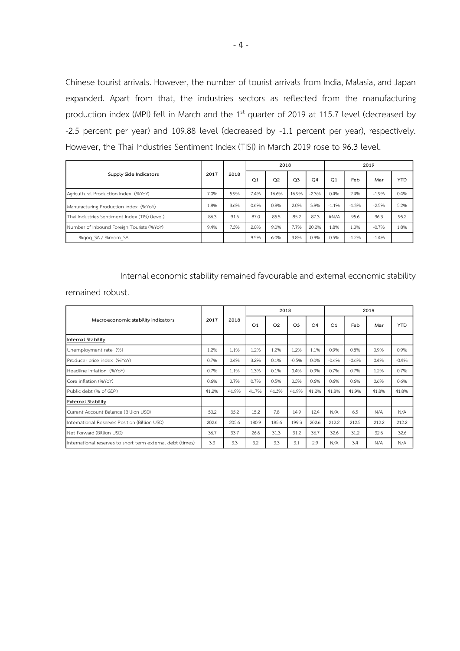Chinese tourist arrivals. However, the number of tourist arrivals from India, Malasia, and Japan expanded. Apart from that, the industries sectors as reflected from the manufacturing production index (MPI) fell in March and the  $1<sup>st</sup>$  quarter of 2019 at 115.7 level (decreased by -2.5 percent per year) and 109.88 level (decreased by -1.1 percent per year), respectively. However, the Thai Industries Sentiment Index (TISI) in March 2019 rose to 96.3 level.

|                                                |      |      |      | 2018  |                |         | 2019    |         |         |      |  |
|------------------------------------------------|------|------|------|-------|----------------|---------|---------|---------|---------|------|--|
| Supply Side Indicators                         | 2017 | 2018 | Q1   | Q2    | Q <sub>3</sub> | Q4      | Q1      | Feb     | Mar     | YTD  |  |
| Agricultural Production Index (%YoY)           | 7.0% | 5.9% | 7.4% | 16.6% | 16.9%          | $-2.3%$ | 0.4%    | 2.4%    | $-1.9%$ | 0.4% |  |
| Manufacturing Production Index (%YoY)          | 1.8% | 3.6% | 0.6% | 0.8%  | 2.0%           | 3.9%    | $-1.1%$ | $-1.3%$ | $-2.5%$ | 5.2% |  |
| Thai Industries Sentiment Index (TISI) (level) | 86.3 | 91.6 | 87.0 | 85.5  | 85.2           | 87.3    | #N/A    | 95.6    | 96.3    | 95.2 |  |
| Number of Inbound Foreign Tourists (%YoY)      | 9.4% | 7.5% | 2.0% | 9.0%  | 7.7%           | 20.2%   | 1.8%    | 1.0%    | $-0.7%$ | 1.8% |  |
| %gog SA / %mom SA                              |      |      | 9.5% | 6.0%  | 3.8%           | 0.9%    | 0.5%    | $-1.2%$ | $-1.4%$ |      |  |

Internal economic stability remained favourable and external economic stability

remained robust.

|                                                            |       | 2018  |                | 2018  |                |       | 2019           |         |       |            |  |
|------------------------------------------------------------|-------|-------|----------------|-------|----------------|-------|----------------|---------|-------|------------|--|
| Macroeconomic stability indicators                         | 2017  |       | O <sub>1</sub> | Q2    | Q <sub>3</sub> | Q4    | O <sub>1</sub> | Feb     | Mar   | <b>YTD</b> |  |
| Internal Stability                                         |       |       |                |       |                |       |                |         |       |            |  |
| Unemployment rate (%)                                      | 1.2%  | 1.1%  | 1.2%           | 1.2%  | 1.2%           | 1.1%  | 0.9%           | 0.8%    | 0.9%  | 0.9%       |  |
| Producer price index (%YoY)                                | 0.7%  | 0.4%  | 3.2%           | 0.1%  | $-0.5%$        | 0.0%  | $-0.4%$        | $-0.6%$ | 0.4%  | $-0.4%$    |  |
| Headline inflation (%YoY)                                  | 0.7%  | 1.1%  | 1.3%           | 0.1%  | 0.4%           | 0.9%  | 0.7%           | 0.7%    | 1.2%  | 0.7%       |  |
| Core inflation (%YoY)                                      | 0.6%  | 0.7%  | 0.7%           | 0.5%  | 0.5%           | 0.6%  | 0.6%           | 0.6%    | 0.6%  | 0.6%       |  |
| Public debt (% of GDP)                                     | 41.2% | 41.9% | 41.7%          | 41.3% | 41.9%          | 41.2% | 41.8%          | 41.9%   | 41.8% | 41.8%      |  |
| <b>External Stability</b>                                  |       |       |                |       |                |       |                |         |       |            |  |
| Current Account Balance (Billion USD)                      | 50.2  | 35.2  | 15.2           | 7.8   | 14.9           | 12.4  | N/A            | 6.5     | N/A   | N/A        |  |
| International Reserves Position (Billion USD)              | 202.6 | 205.6 | 180.9          | 185.6 | 199.3          | 202.6 | 212.2          | 212.5   | 212.2 | 212.2      |  |
| Net Forward (Billion USD)                                  | 36.7  | 33.7  | 26.6           | 31.3  | 31.2           | 36.7  | 32.6           | 31.2    | 32.6  | 32.6       |  |
| International reserves to short term external debt (times) | 3.3   | 3.3   | 3.2            | 3.3   | 3.1            | 2.9   | N/A            | 3.4     | N/A   | N/A        |  |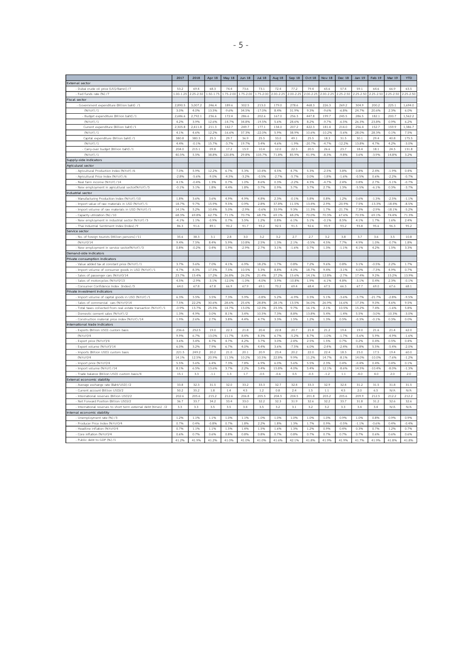|                                                                | 2017          | 2018          | Apr 18       | May 18         | <b>Jun 18</b> | <b>Jul 18</b> | Aug 18   | Sep 18        | Oct 18       | Nov 18        | Dec 18            | <b>Jan 19</b> | Feb 19        | Mar 19            | <b>YTD</b>      |
|----------------------------------------------------------------|---------------|---------------|--------------|----------------|---------------|---------------|----------|---------------|--------------|---------------|-------------------|---------------|---------------|-------------------|-----------------|
| External sector                                                |               |               |              |                |               |               |          |               |              |               |                   |               |               |                   |                 |
| - Dubai crude oil price (US\$/Barrel) /7                       | 53.2          | 694           | 68.3         | 74 4           | 73.6          | 73.1          | 72.4     | 77.2          | 79 a         | 65.6          | 57.4              | 59.1          | 64.6          | 66.9              | 63.5            |
| Fed funds rate (%) /7                                          | $1.00 - 1.25$ | 2.25-2.50     | $.50 - 1.75$ | 1.75-2.00      | $1.75 - 2.00$ | $1.75 - 2.00$ | $200-22$ | $2.00 - 2.25$ | $2.00 - 2.2$ | $2.00 - 2.25$ | $2.25 - 2.50$     | $.25 - 2.50$  | $2.25 - 2.50$ | $25 - 250$        | $25 - 250$      |
| Fiscal sector                                                  |               |               |              |                |               |               |          |               |              |               |                   |               |               |                   |                 |
| - Government expenditure (Billion baht) /1                     | 2,890.5       | 3.007.2       | 246.4        | 189.6          | 302.5         | 213.0         | 179.0    | 278.6         | 468.3        | 226.3         | 269.2             | 304.9         | 200.2         | 225.1             | 1.694.0         |
| (%YoY) /1                                                      | 3.0%          | 4.0%          | 13.5%        | $-9.6%$        | 34.5%         | $-17.096$     | 8.4%     | 31.9%         | 9.3%         | $-9.696$      | $-6.8%$           | 24.7%         | 20.6%         | 2.3%              | 6.0%            |
| Budget expenditure (Billion baht) /1                           | 2,686.6       | 2,792.1       | 236.6        | 172.4          | 286.6         | 202.6         | 167.0    | 256.3         | 447.8        | 199.7         | 245.5             | 286.5         | 182.1         | 200.7             | 1,562.2         |
| (%YoY) /1                                                      | 4.2%          | 3.9%          | 12.6%        | $-14.796$      | 34.8%         | $-19.5%$      | 5.6%     | 28.6%         | 8.2%         | $-9.796$      | $-6.5%$           | 26.3%         | 23.8%         | 0.9%              | 6.2%            |
| Current expenditure (Billion baht) /1                          | 2,305.8       | 2,411.8       | 211.3        | 142.7          | 249.7         | 177.1         | 134.0    | 207.2         | 422.3        | 181.4         | 214.0             | 256.4         | 152.7         | 159.9             | 1,386.7         |
| (%YoY) /1                                                      | 4.1%          | 4.6%          | 12.2%        | $-16.6%$       | 37.3%         | 22.0%         | 5.9%     | 38.9%         | 10.6%        | $-10.296$     | $-5.6%$           | 28.0%         | 28.3%         | 0.1%              | 7.5%            |
|                                                                | 380.8         | 3803          |              |                | 36.9          |               | 330      |               | 25.5         | 183           | 31.5              |               | 29.4          | 40.8              |                 |
| Capital expenditure (Billion baht) /1                          |               |               | 25.3         | 29.7           |               | 25.5          |          | 49.1          |              |               |                   | 30.1          |               |                   | 175.5           |
| (%YoY) /1                                                      | 4.4%          | $-0.196$      | 15.7%        | $-3.7%$        | 19.7%         | 3.4%          | 4.6%     | $-1.996$      | 20.7%        | $-4.796$      | $-12.2%$          | 13.8%         | 4.7%          | 4.2%              | $-3.0%$         |
| Carry-over budget (Billion baht) /1                            | 204.0         | 215.1         | 09.8         | 17.2           | 15.9          | 10.4          | 12.0     | 22.3          | 20.5         | 26.6          | 23.7              | 18.4          | 18.1          | 24.5              | 131.8           |
| (%YoY) /1                                                      | 40.5%         | 5.5%          | 38.8%        | 120.8%         | 29.8%         | 105.7%        | 71.8%    | 85.9%         | 41.9%        | 8.3%          | 9.8%              | 3.6%          | $-3.996$      | 14.8%             | 3.2%            |
| Supply-side indicators                                         |               |               |              |                |               |               |          |               |              |               |                   |               |               |                   |                 |
| Agriculural sector                                             |               |               |              |                |               |               |          |               |              |               |                   |               |               |                   |                 |
| Agricultural Production Index (%YoY) /6                        | 7.0%          | 5.9%          | 12.2%        | 6.7%           | 5.3%          | 10.4%         | 4.5%     | 4.7%          | 5.3%         | $-2.5%$       | 3.8%              | 0.8%          | 2.4%          | $-1.996$          | 0.4%            |
| Agricultural Price Index (%YoY) /6                             | $-2.8%$       | $-5.6%$       | $-9.0%$      | $-4.5%$        | $-3.2%$       | $-0.5%$       | $-2.796$ | $-5.796$      | 0.0%         | $-1.896$      | $-1.696$          | $-0.5%$       | 0.6%          | $-2.2%$           | $-0.796$        |
| Real farm income (%YoY) /14                                    | 4.1%          | $-0.4%$       | 1.3%         | 0.7%           | 1.0%          | 8.6%          | 0.3%     | $-2.2%$       | 4.3%         | 4.7%          | 2.4%              | 0.8%          | 2.7%          | $-5.1%$           | $-0.796$        |
| New employment in agricultural sector(%YoY) /3                 | $-0.196$      | 3.1%          | 1.8%         | 4 4 %          | 1.8%          | 0.7%          | 0.9%     | 3.7%          | 3.7%         | 2.7%          | 1.3%              | $-5.5%$       | $-6.196$      | 0.3%              | $-3.796$        |
| Industrial sector                                              |               |               |              |                |               |               |          |               |              |               |                   |               |               |                   |                 |
| Manufacturing Production Index (%YoY) /10                      | 1.8%          | 3.6%          | 3.6%         | 4.9%           | 4.9%          | 4.8%          | 2.3%     | $-0.1%$       | 5.8%         | 0.8%          | 1.2%              | 0.6%          | $-1.396$      | $-2.5%$           | $-1.196$        |
| - Import value of raw materials in USD (%YoY) /1               | 18.7%         | 9.7%          | 15.9%        | 9.5%           | 0.996         | 2.8%          | 37.8%    | 11.5%         | 13.4%        | 2.9%          | 20.9%             | 7.5%          | $-13.3%$      | 18.4%             | $-8.5%$         |
| Import volume of raw materials in USD (%YoY) /1                | 14.1%         | 5.2%          | 10.4%        | 5.0%           | $-2.996$      | $-0.696$      | 33.9%    | 9.3%          | 11.3%        | 1.7%          | $-21.796$         | 7.3%          | $-2.996$      | 18.1%             | $-5.296$        |
| Capacity utilization (%) /10                                   | 68.3%         | 69.8%         | 62.7%        | 71 1 96        | 70.7%         | 68.7%         | 69 1%    | 68.2%         | 70.0%        | 70 3%         | 67.6%             | 70.5%         | 69.1%         | 74 4%             | 71 396          |
| New employment in industrial sector (%YoY) /3                  | $-4.1%$       | 1.1%          | $-0.996$     | 0.7%           | 3.5%          | 1.2%          | 0.8%     | 6.1%          | 5.1%         | $-0.196$      | 8.5%              | 4.1%          | 1.7%          | 1.6%              | 2.4%            |
| Thai Industrial Sentiment Index (Index) /9                     | 86.3          | 91.6          | 89.1         | 90.2           | 91.7          | 93.2          | 92.5     | 91.5          | 92.6         | 93.9          | 93.2              | 93.8          | 95.6          | 96.3              | 95.2            |
| Service sector                                                 |               |               |              |                |               |               |          |               |              |               |                   |               |               |                   |                 |
| - No. of foreign tourists (Million persons) /11                | 35.6          | 38.3          | 3.1          | 2.8            | 3.0           | 3.2           | 3.2      | 2.7           | 2.7          | 3.2           | 3.8               | 3.7           | 3.6           | 3.5               | 10.8            |
| (%YoY)/14                                                      | 9.4%          | 7.596         | 8.4%         | 5.9%           | 10.8%         | 2.5%          | 1 396    | 2.1%          | 0.596        | 4.5%          | 7.7%              | A.996         | 1.0%          | $-0.7%$           | 1.8%            |
| New employment in service sector(%YoY) /3                      | 0.8%          | $-0.296$      | 0.4%         | 1.9%           | $-2.9%$       | 2.7%          | 3.1%     | $-1.6%$       | 0.7%         | 1.3%          | $-1.196$          | 4.1%          | 4.2%          | 1.5%              | 3.3%            |
| Demand-side indicators                                         |               |               |              |                |               |               |          |               |              |               |                   |               |               |                   |                 |
| Private consumption indicators                                 |               |               |              |                |               |               |          |               |              |               |                   |               |               |                   |                 |
| Value added tax at constant price (%YoY) /1                    | 3 7 %         | 5.6%          | 7.0%         | 4.1%           | 6.9%          | 18.2%         | 1.7%     | 0.8%          | 7.2%         | 9.6%          | 0.8%              | 3 1 %         | $-0.5%$       | 2.2%              | 1.796           |
| - Import volume of consumer goods in USD (%YoY) /1             | 4.7%          | 8.3%          | 17.5%        | 7.5%           | 10.5%         | 5.3%          | 8.8%     | 4.0%          | 18.7%        | 9.4%          | $-3.1%$           | 4.0%          | $-7.396$      | 4.9%              | 0.7%            |
| Sales of passenger cars (%YoY)/14                              | 23.7%         | 15.4%         | 17.2%        | 26.8%          | 26.2%         | 21.4%         | 27.2%    | 15.6%         | 14.1%        | 12.8%         | $-2.7%$           | 17.4%         | 9.2%          | 15.2%             | 13.9%           |
|                                                                | 4.5%          | $-29%$        | $-3.1%$      | $-12.0%$       | $-1.0%$       | $-4.0%$       | 3.9%     | 10.8%         | 1.9%         | $-6.1%$       | 4.8%              | 3.1%          | 0.4%          | 2 3 %             | $-0.196$        |
| Sales of motorcycles (%YoY)/13                                 |               |               |              |                |               |               |          |               |              |               |                   |               |               |                   |                 |
| Consumer Confidence Index (Index) /5                           | 64.0          | 67.8          | 67.8         | 66.9           | 67.9          | 69.1          | 70.2     | 69.4          | 68.4         | 67.5          | 66.3              | 67.7          | 69.0          | 67.6              | 68.1            |
| Private investment indicators                                  |               |               |              |                |               |               |          |               |              |               |                   |               |               |                   |                 |
| Import volume of capital goods in USD (%YoY) /1                | 6.3%          | 3.5%          | 3.5%         | 7.3%           | 5.9%          | $-0.896$      | 5.2%     | $-6.996$      | 0.3%         | 5.1%          | $-3.696$          | $-3.796$      | $-21.796$     | $-2.8%$           | $-9.5%$<br>9.5% |
| Sales of commercial cars (%YoY)/14                             | 7.5%          | 22.2%         | 30.6%        | 28.6%          | 25.6%         | 28.8%         | 28.1%    | 13.5%         | 36.0%        | 26.9%         | 16.6%             | 17.3%         | 9.0%          | 4.6%              |                 |
| - Total taxes collected from real estate transaction (%YoY) /1 | $-0.996$      | 13.7%<br>4 9% | 25.5%        | 14.7%<br>8 1 % | 13.0%<br>3 4% | 12.3%         | 23.3%    | 9.7%<br>8.8%  | 16.1%        | 2.1%          | 10.5%<br>$-1.496$ | 15.2%<br>5.5% | 7.4%          | $-1.696$<br>10 3% | 5.8%<br>3.0%    |
| Domestic cement sales (%YoY) /2                                | 1.3%          |               | 0.0%         |                |               | 10.5%         | 7.3%     |               | 13.8%        | 5.4%          |                   |               | $-3.0%$       |                   |                 |
| Construction material price index (%YoY) /14                   | 1.9%          | 2.6%          | 2.7%         | 3.8%           | 4.4%          | 4.7%          | 3.3%     | 1.5%          | 1.2%         | 1.3%          | 0.5%              | $-0.396$      | $-0.196$      | 0.3%              | 0.0%            |
| International trade indicators                                 |               |               |              |                |               |               |          |               |              |               |                   |               |               |                   |                 |
| Exports (Billion USD): custom basis                            | 236.6         | 252.5         | 190          | 22.3           | 21.8          | 20a           | 22.8     | 20.7          | 21.8         | 21.2          | 19d               | 190           | 21.6          | 21.4              | 62.0            |
| (%YoY)/4                                                       | 9.9%          | 6.7%          | 13.0%        | 11.7%          | 8.4%          | 8.3%          | 6.7%     | $-5.2%$       | 8.7%         | $-1.096$      | $-1.796$          | $-5.6%$       | 5.9%          | $-4.996$          | $-1.696$        |
| Export price (%YoY)/4                                          | 3.6%          | 3.4%          | 4.7%         | 4.7%           | 4.2%          | 3.7%          | 3.0%     | 2.4%          | 2.5%         | 1.5%          | 0.7%              | 0.2%          | 0.4%          | 0.5%              | 0.4%            |
| Export volume (%YoY)/14                                        | 6.0%          | 3.2%          | 7.9%         | 6.7%           | 4.0%          | 4.4%          | 3.6%     | $-7.596$      | 6.0%         | $-2.496$      | $-2.4%$           | $-5.8%$       | 5.5%          | $-5.4%$           | $-2.096$        |
| Imports (Billion USD): custom basis                            | 221.5         | 249.2         | 20.2         | 21.0           | 20.1          | 20.9          | 23.4     | 20.2          | 22.0         | 22.4          | 18.3              | 23.0          | 17.5          | 19.4              | 60.0            |
| (%YoY)/4                                                       | 14.1%         | 12.5%         | 20.9%        | 11.3%          | 10.2%         | 10.5%         | 22.8%    | 9 9%          | 11.2%        | 14 7%         | 8.1%              | 14.0%         | 10.0%         | 7.6%              | $-1.296$        |
| Import price (%YoY)/4                                          | 5.5%          | 5.6%          | 6.4%         | 7.3%           | 7.8%          | 6.9%          | 6.0%     | 5.6%          | 5.5%         | 2.3%          | 0.4%              | $-0.4%$       | 0.4%          | 0.4%              | 0.1%            |
| Import volume (%YoY) /14                                       | 8.1%          | 6.5%          | 13.6%        | 3.7%           | 2.2%          | 3.4%          | 15.8%    | 4.0%          | 5.4%         | 12.1%         | 8.6%              | 14.5%         | $-10.496$     | $-8.0%$           | $-1.3%$         |
| Trade balance (Billion USD): custom basis/4                    | 15.1          | 3.3           | $-1.1$       | 1.3            | 1.7           | $-0.5$        | $-0.6$   | 0.5           | $-0.3$       | $-1.2$        | $1.1\,$           | $-4.0$        | 4.0           | $2.0\,$           | $2.0\,$         |
| External economic stability                                    |               |               |              |                |               |               |          |               |              |               |                   |               |               |                   |                 |
| Average exchange rate (Baht/USD) /2                            | 33.8          | 323           | 31.5         | 320            | 332           | 333           | 327      | 324           | 333          | 329           | 324               | 312           | 31.5          | 31.8              | 31.5            |
| Current account (Billion USD)/2                                | 50.2          | 35.2          | 1.8          | 1.4            | 4.5           | 1.2           | 0.8      | 2.4           | 1.5          | 1.1           | 4.5               | 2.0           | 6.5           | N/A               | N/A             |
| International reserves (Billion USD)/2                         | 202.6         | 205.6         | 215.2        | 212.6          | 206.8         | 205.5         | 204.5    | 204.5         | 201.8        | 203.2         | 205.6             | 209.9         | 212.5         | 212.2             | 212.2           |
| - Net Forward Position (Billion USD)/2                         | 36.7          | 33.7          | 34.2         | 33.4           | 33.0          | 32.2          | 32.3     | 31.9          | 32.6         | 32.2          | 33.7              | 31.8          | 31.2          | 32.6              | 32.6            |
| International reserves to short term external debt (times) /2  | 33            | 3.3           | 3.5          | 3.5            | 3.4           | 3.5           | 3.2      | 3.1           | 3.2          | 3.2           | 3.3               | 3.4           | 3.4           | N/A               | N/A             |
| Internal economic stability                                    |               |               |              |                |               |               |          |               |              |               |                   |               |               |                   |                 |
| Unemployment rate (%) /3                                       | 1.2%          | 1.1%          | 1.1%         | 1.0%           | 1.1%          | 1.0%          | 1.0%     | 1.0%          | 1.0%         | 1.0%          | 0.9%              | 1.0%          | 0.8%          | 0.9%              | 0.9%            |
| Producer Price Index (%YoY)/4                                  | 0.7%          | 0.4%          | $-0.8%$      | 0.7%           | 1.8%          | 2.2%          | 1.8%     | 1.3%          | 1.796        | 0.9%          | $-0.5%$           | $-1.196$      | $-0.696$      | 0.4%              | $-0.496$        |
| Headline inflation (%YoY)/4                                    | 0.7%          | 1.1%          | 1.1%         | 1.5%           | 1.4%          | 1.5%          | 1.6%     | 1.396         | 1.2%         | 0.9%          | 0.4%              | 0.3%          | 0.7%          | 1.2%              | 0.7%            |
| Core inflation (%YoY)/4                                        | 0.6%          | 0.7%          | 0.6%         | 0.8%           | 0.8%          | 0.8%          | 0.7%     | 0.8%          | 0.7%         | 0.7%          | 0.796             | 0.7%          | 0.696         | 0.6%              | 0.6%            |
| Public debt to GDP (%) /1                                      | 41.2%         | 41.9%         | 41.2%        | 41.0%          | 41.0%         | 41.0%         | 41.6%    | 42.1%         | 41.8%        | 41.9%         | 41.9%             | 41.7%         | 41.9%         | 41.8%             | 41.8%           |
|                                                                |               |               |              |                |               |               |          |               |              |               |                   |               |               |                   |                 |